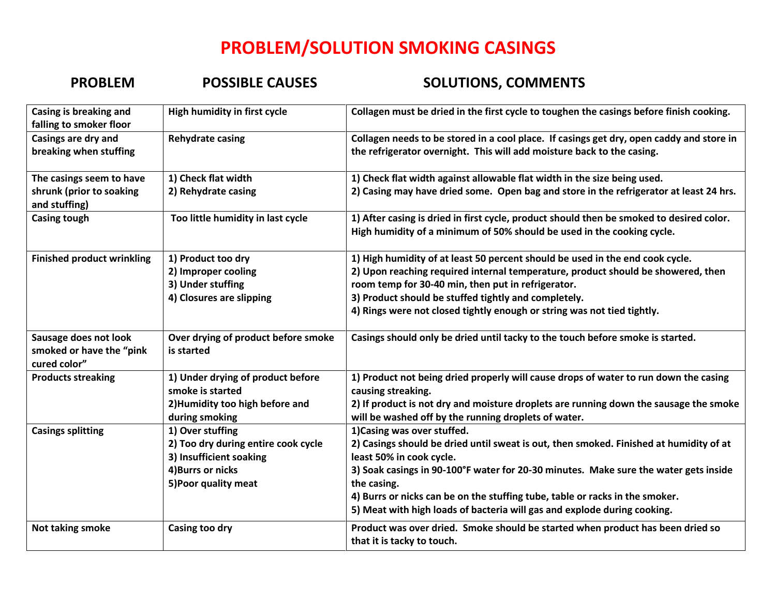## **PROBLEM/SOLUTION SMOKING CASINGS**

## **PROBLEM POSSIBLE CAUSES SOLUTIONS, COMMENTS**

| Casing is breaking and<br>falling to smoker floor                                     | High humidity in first cycle                                                                                                    | Collagen must be dried in the first cycle to toughen the casings before finish cooking.                                                                                                                                                                                                                                                                                                                              |
|---------------------------------------------------------------------------------------|---------------------------------------------------------------------------------------------------------------------------------|----------------------------------------------------------------------------------------------------------------------------------------------------------------------------------------------------------------------------------------------------------------------------------------------------------------------------------------------------------------------------------------------------------------------|
| Casings are dry and<br>breaking when stuffing                                         | <b>Rehydrate casing</b>                                                                                                         | Collagen needs to be stored in a cool place. If casings get dry, open caddy and store in<br>the refrigerator overnight. This will add moisture back to the casing.                                                                                                                                                                                                                                                   |
| The casings seem to have<br>shrunk (prior to soaking<br>and stuffing)<br>Casing tough | 1) Check flat width<br>2) Rehydrate casing<br>Too little humidity in last cycle                                                 | 1) Check flat width against allowable flat width in the size being used.<br>2) Casing may have dried some. Open bag and store in the refrigerator at least 24 hrs.<br>1) After casing is dried in first cycle, product should then be smoked to desired color.<br>High humidity of a minimum of 50% should be used in the cooking cycle.                                                                             |
| <b>Finished product wrinkling</b>                                                     | 1) Product too dry<br>2) Improper cooling<br>3) Under stuffing<br>4) Closures are slipping                                      | 1) High humidity of at least 50 percent should be used in the end cook cycle.<br>2) Upon reaching required internal temperature, product should be showered, then<br>room temp for 30-40 min, then put in refrigerator.<br>3) Product should be stuffed tightly and completely.<br>4) Rings were not closed tightly enough or string was not tied tightly.                                                           |
| Sausage does not look<br>smoked or have the "pink<br>cured color"                     | Over drying of product before smoke<br>is started                                                                               | Casings should only be dried until tacky to the touch before smoke is started.                                                                                                                                                                                                                                                                                                                                       |
| <b>Products streaking</b>                                                             | 1) Under drying of product before<br>smoke is started<br>2) Humidity too high before and<br>during smoking                      | 1) Product not being dried properly will cause drops of water to run down the casing<br>causing streaking.<br>2) If product is not dry and moisture droplets are running down the sausage the smoke<br>will be washed off by the running droplets of water.                                                                                                                                                          |
| <b>Casings splitting</b>                                                              | 1) Over stuffing<br>2) Too dry during entire cook cycle<br>3) Insufficient soaking<br>4) Burrs or nicks<br>5) Poor quality meat | 1) Casing was over stuffed.<br>2) Casings should be dried until sweat is out, then smoked. Finished at humidity of at<br>least 50% in cook cycle.<br>3) Soak casings in 90-100°F water for 20-30 minutes. Make sure the water gets inside<br>the casing.<br>4) Burrs or nicks can be on the stuffing tube, table or racks in the smoker.<br>5) Meat with high loads of bacteria will gas and explode during cooking. |
| Not taking smoke                                                                      | Casing too dry                                                                                                                  | Product was over dried. Smoke should be started when product has been dried so<br>that it is tacky to touch.                                                                                                                                                                                                                                                                                                         |